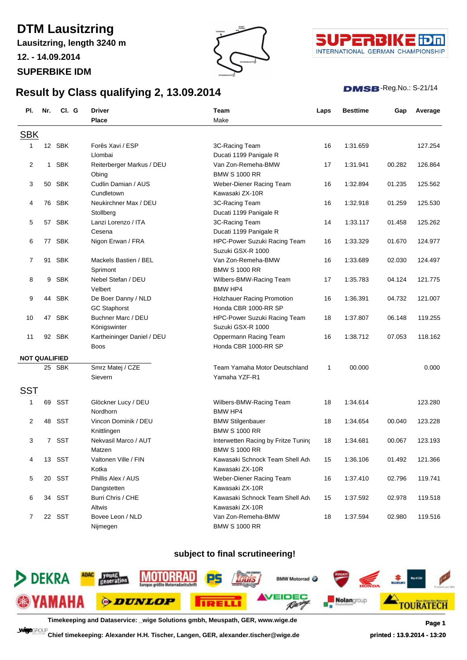# **DTM Lausitzring**

**Lausitzring, length 3240 m**

**Result by Class qualifying 2, 13.09.2014**

**12. - 14.09.2014**

**SUPERBIKE IDM**





#### $DMSB$ -Reg.No.: S-21/14

| PI.                  | Nr.         | CI. G      | <b>Driver</b>              | Team                                | Laps | <b>Besttime</b> | Gap    | Average |
|----------------------|-------------|------------|----------------------------|-------------------------------------|------|-----------------|--------|---------|
|                      |             |            | <b>Place</b>               | Make                                |      |                 |        |         |
| <b>SBK</b>           |             |            |                            |                                     |      |                 |        |         |
| 1                    |             | 12 SBK     | Forês Xavi / ESP           | 3C-Racing Team                      | 16   | 1:31.659        |        | 127.254 |
|                      |             |            | Llombai                    | Ducati 1199 Panigale R              |      |                 |        |         |
| 2                    |             | 1 SBK      | Reiterberger Markus / DEU  | Van Zon-Remeha-BMW                  | 17   | 1:31.941        | 00.282 | 126.864 |
|                      |             |            | Obing                      | <b>BMW S 1000 RR</b>                |      |                 |        |         |
| 3                    |             | 50 SBK     | Cudlin Damian / AUS        | Weber-Diener Racing Team            | 16   | 1:32.894        | 01.235 | 125.562 |
|                      |             |            | Cundletown                 | Kawasaki ZX-10R                     |      |                 |        |         |
| 4                    |             | 76 SBK     | Neukirchner Max / DEU      | 3C-Racing Team                      | 16   | 1:32.918        | 01.259 | 125.530 |
|                      |             |            | Stollberg                  | Ducati 1199 Panigale R              |      |                 |        |         |
| 5                    |             | 57 SBK     | Lanzi Lorenzo / ITA        | 3C-Racing Team                      | 14   | 1:33.117        | 01.458 | 125.262 |
|                      |             |            | Cesena                     | Ducati 1199 Panigale R              |      |                 |        |         |
| 6                    |             | 77 SBK     | Nigon Erwan / FRA          | HPC-Power Suzuki Racing Team        | 16   | 1:33.329        | 01.670 | 124.977 |
|                      |             |            |                            | Suzuki GSX-R 1000                   |      |                 |        |         |
| 7                    |             | 91 SBK     | Mackels Bastien / BEL      | Van Zon-Remeha-BMW                  | 16   | 1:33.689        | 02.030 | 124.497 |
|                      |             |            | Sprimont                   | <b>BMW S 1000 RR</b>                |      |                 |        |         |
| 8                    | 9           | <b>SBK</b> | Nebel Stefan / DEU         | Wilbers-BMW-Racing Team             | 17   | 1:35.783        | 04.124 | 121.775 |
|                      |             |            | Velbert                    | BMW HP4                             |      |                 |        |         |
| 9                    | 44          | <b>SBK</b> | De Boer Danny / NLD        | Holzhauer Racing Promotion          | 16   | 1:36.391        | 04.732 | 121.007 |
|                      |             |            | <b>GC Staphorst</b>        | Honda CBR 1000-RR SP                |      |                 |        |         |
| 10                   |             | 47 SBK     | Buchner Marc / DEU         | HPC-Power Suzuki Racing Team        | 18   | 1:37.807        | 06.148 | 119.255 |
|                      |             |            | Königswinter               | Suzuki GSX-R 1000                   |      |                 |        |         |
| 11                   |             | 92 SBK     | Kartheininger Daniel / DEU | Oppermann Racing Team               | 16   | 1:38.712        | 07.053 | 118.162 |
|                      |             |            | Boos                       | Honda CBR 1000-RR SP                |      |                 |        |         |
| <b>NOT QUALIFIED</b> |             |            |                            |                                     |      |                 |        |         |
|                      |             | 25 SBK     | Smrz Matej / CZE           | Team Yamaha Motor Deutschland       | 1    | 00.000          |        | 0.000   |
|                      |             |            | Sievern                    | Yamaha YZF-R1                       |      |                 |        |         |
| <b>SST</b>           |             |            |                            |                                     |      |                 |        |         |
| 1                    | 69          | SST        | Glöckner Lucy / DEU        | Wilbers-BMW-Racing Team             | 18   | 1:34.614        |        | 123.280 |
|                      |             |            | Nordhorn                   | <b>BMW HP4</b>                      |      |                 |        |         |
| 2                    | 48          | <b>SST</b> | Vincon Dominik / DEU       | <b>BMW Stilgenbauer</b>             | 18   | 1:34.654        | 00.040 | 123.228 |
|                      |             |            | Knittlingen                | <b>BMW S 1000 RR</b>                |      |                 |        |         |
| 3                    | $7^{\circ}$ | SST        | Nekvasil Marco / AUT       | Interwetten Racing by Fritze Tuning | 18   | 1:34.681        | 00.067 | 123.193 |
|                      |             |            | Matzen                     | <b>BMW S 1000 RR</b>                |      |                 |        |         |
| 4                    |             | 13 SST     | Valtonen Ville / FIN       | Kawasaki Schnock Team Shell Adv     | 15   | 1:36.106        | 01.492 | 121.366 |
|                      |             |            | Kotka                      | Kawasaki ZX-10R                     |      |                 |        |         |
| 5                    | 20          | SST        | Phillis Alex / AUS         | Weber-Diener Racing Team            | 16   | 1:37.410        | 02.796 | 119.741 |
|                      |             |            | Dangstetten                | Kawasaki ZX-10R                     |      |                 |        |         |
| 6                    |             | 34 SST     | Burri Chris / CHE          | Kawasaki Schnock Team Shell Adv     | 15   | 1:37.592        | 02.978 | 119.518 |
|                      |             |            | Altwis                     | Kawasaki ZX-10R                     |      |                 |        |         |
| 7                    |             | 22 SST     | Bovee Leon / NLD           | Van Zon-Remeha-BMW                  | 18   | 1:37.594        | 02.980 | 119.516 |
|                      |             |            | Nijmegen                   | <b>BMW S 1000 RR</b>                |      |                 |        |         |

### **subject to final scrutineering!**



**Timekeeping and Dataservice: \_wige Solutions gmbh, Meuspath, GER, www.wige.de Page 1**

**Chief timekeeping: Alexander H.H. Tischer, Langen, GER, alexander.tischer@wige.de printed : 13.9.2014 - 13:20**